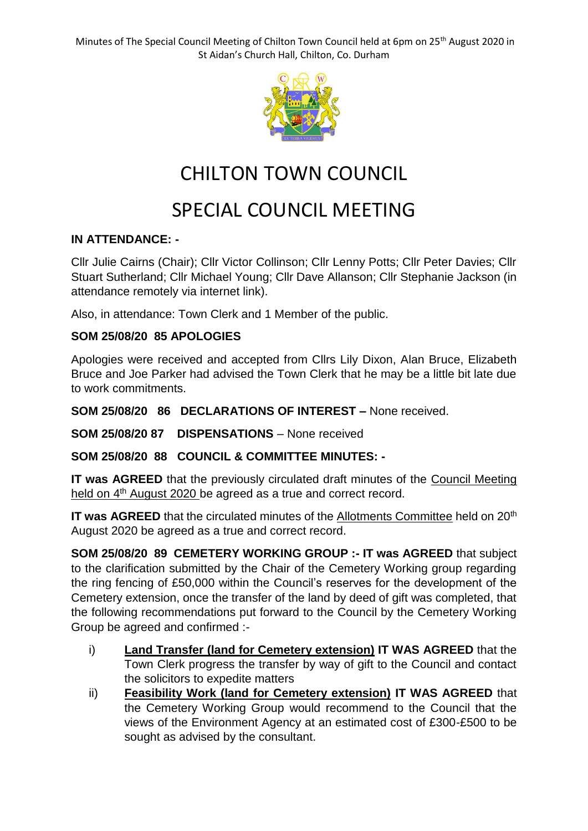Minutes of The Special Council Meeting of Chilton Town Council held at 6pm on 25<sup>th</sup> August 2020 in St Aidan's Church Hall, Chilton, Co. Durham



# CHILTON TOWN COUNCIL

# SPECIAL COUNCIL MEETING

#### **IN ATTENDANCE: -**

Cllr Julie Cairns (Chair); Cllr Victor Collinson; Cllr Lenny Potts; Cllr Peter Davies; Cllr Stuart Sutherland; Cllr Michael Young; Cllr Dave Allanson; Cllr Stephanie Jackson (in attendance remotely via internet link).

Also, in attendance: Town Clerk and 1 Member of the public.

### **SOM 25/08/20 85 APOLOGIES**

Apologies were received and accepted from Cllrs Lily Dixon, Alan Bruce, Elizabeth Bruce and Joe Parker had advised the Town Clerk that he may be a little bit late due to work commitments.

**SOM 25/08/20 86 DECLARATIONS OF INTEREST –** None received.

**SOM 25/08/20 87 DISPENSATIONS** – None received

**SOM 25/08/20 88 COUNCIL & COMMITTEE MINUTES: -**

**IT was AGREED** that the previously circulated draft minutes of the Council Meeting held on 4<sup>th</sup> August 2020 be agreed as a true and correct record.

**IT was AGREED** that the circulated minutes of the Allotments Committee held on 20<sup>th</sup> August 2020 be agreed as a true and correct record.

**SOM 25/08/20 89 CEMETERY WORKING GROUP :- IT was AGREED** that subject to the clarification submitted by the Chair of the Cemetery Working group regarding the ring fencing of £50,000 within the Council's reserves for the development of the Cemetery extension, once the transfer of the land by deed of gift was completed, that the following recommendations put forward to the Council by the Cemetery Working Group be agreed and confirmed :-

- i) **Land Transfer (land for Cemetery extension) IT WAS AGREED** that the Town Clerk progress the transfer by way of gift to the Council and contact the solicitors to expedite matters
- ii) **Feasibility Work (land for Cemetery extension) IT WAS AGREED** that the Cemetery Working Group would recommend to the Council that the views of the Environment Agency at an estimated cost of £300-£500 to be sought as advised by the consultant.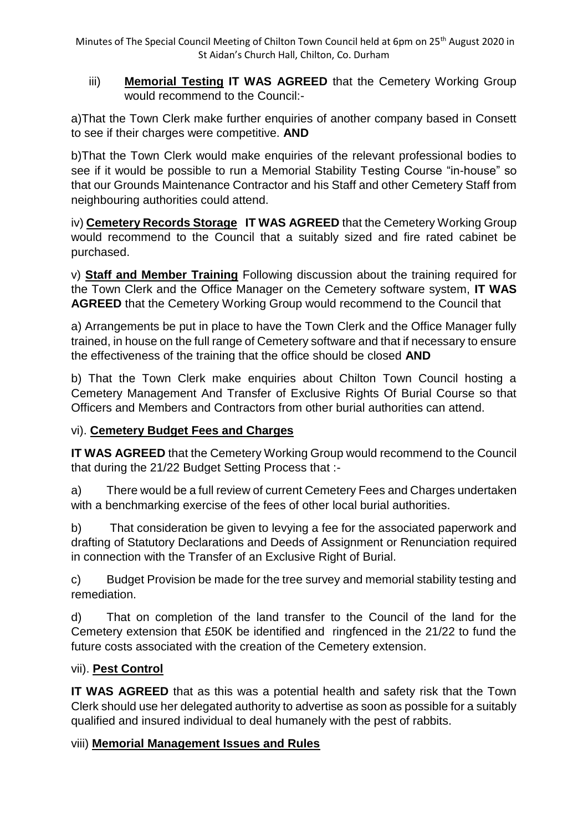Minutes of The Special Council Meeting of Chilton Town Council held at 6pm on 25<sup>th</sup> August 2020 in St Aidan's Church Hall, Chilton, Co. Durham

iii) **Memorial Testing IT WAS AGREED** that the Cemetery Working Group would recommend to the Council:-

a)That the Town Clerk make further enquiries of another company based in Consett to see if their charges were competitive. **AND**

b)That the Town Clerk would make enquiries of the relevant professional bodies to see if it would be possible to run a Memorial Stability Testing Course "in-house" so that our Grounds Maintenance Contractor and his Staff and other Cemetery Staff from neighbouring authorities could attend.

iv) **Cemetery Records Storage IT WAS AGREED** that the Cemetery Working Group would recommend to the Council that a suitably sized and fire rated cabinet be purchased.

v) **Staff and Member Training** Following discussion about the training required for the Town Clerk and the Office Manager on the Cemetery software system, **IT WAS AGREED** that the Cemetery Working Group would recommend to the Council that

a) Arrangements be put in place to have the Town Clerk and the Office Manager fully trained, in house on the full range of Cemetery software and that if necessary to ensure the effectiveness of the training that the office should be closed **AND**

b) That the Town Clerk make enquiries about Chilton Town Council hosting a Cemetery Management And Transfer of Exclusive Rights Of Burial Course so that Officers and Members and Contractors from other burial authorities can attend.

### vi). **Cemetery Budget Fees and Charges**

**IT WAS AGREED** that the Cemetery Working Group would recommend to the Council that during the 21/22 Budget Setting Process that :-

a) There would be a full review of current Cemetery Fees and Charges undertaken with a benchmarking exercise of the fees of other local burial authorities.

b) That consideration be given to levying a fee for the associated paperwork and drafting of Statutory Declarations and Deeds of Assignment or Renunciation required in connection with the Transfer of an Exclusive Right of Burial.

c) Budget Provision be made for the tree survey and memorial stability testing and remediation.

d) That on completion of the land transfer to the Council of the land for the Cemetery extension that £50K be identified and ringfenced in the 21/22 to fund the future costs associated with the creation of the Cemetery extension.

### vii). **Pest Control**

**IT WAS AGREED** that as this was a potential health and safety risk that the Town Clerk should use her delegated authority to advertise as soon as possible for a suitably qualified and insured individual to deal humanely with the pest of rabbits.

### viii) **Memorial Management Issues and Rules**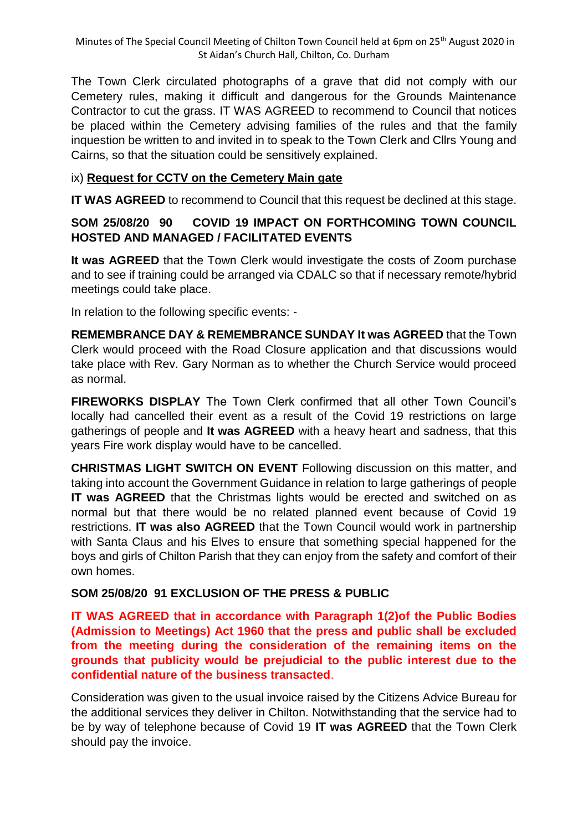The Town Clerk circulated photographs of a grave that did not comply with our Cemetery rules, making it difficult and dangerous for the Grounds Maintenance Contractor to cut the grass. IT WAS AGREED to recommend to Council that notices be placed within the Cemetery advising families of the rules and that the family inquestion be written to and invited in to speak to the Town Clerk and Cllrs Young and Cairns, so that the situation could be sensitively explained.

### ix) **Request for CCTV on the Cemetery Main gate**

**IT WAS AGREED** to recommend to Council that this request be declined at this stage.

### **SOM 25/08/20 90 COVID 19 IMPACT ON FORTHCOMING TOWN COUNCIL HOSTED AND MANAGED / FACILITATED EVENTS**

**It was AGREED** that the Town Clerk would investigate the costs of Zoom purchase and to see if training could be arranged via CDALC so that if necessary remote/hybrid meetings could take place.

In relation to the following specific events: -

**REMEMBRANCE DAY & REMEMBRANCE SUNDAY It was AGREED** that the Town Clerk would proceed with the Road Closure application and that discussions would take place with Rev. Gary Norman as to whether the Church Service would proceed as normal.

**FIREWORKS DISPLAY** The Town Clerk confirmed that all other Town Council's locally had cancelled their event as a result of the Covid 19 restrictions on large gatherings of people and **It was AGREED** with a heavy heart and sadness, that this years Fire work display would have to be cancelled.

**CHRISTMAS LIGHT SWITCH ON EVENT** Following discussion on this matter, and taking into account the Government Guidance in relation to large gatherings of people **IT was AGREED** that the Christmas lights would be erected and switched on as normal but that there would be no related planned event because of Covid 19 restrictions. **IT was also AGREED** that the Town Council would work in partnership with Santa Claus and his Elves to ensure that something special happened for the boys and girls of Chilton Parish that they can enjoy from the safety and comfort of their own homes.

### **SOM 25/08/20 91 EXCLUSION OF THE PRESS & PUBLIC**

**IT WAS AGREED that in accordance with Paragraph 1(2)of the Public Bodies (Admission to Meetings) Act 1960 that the press and public shall be excluded from the meeting during the consideration of the remaining items on the grounds that publicity would be prejudicial to the public interest due to the confidential nature of the business transacted**.

Consideration was given to the usual invoice raised by the Citizens Advice Bureau for the additional services they deliver in Chilton. Notwithstanding that the service had to be by way of telephone because of Covid 19 **IT was AGREED** that the Town Clerk should pay the invoice.